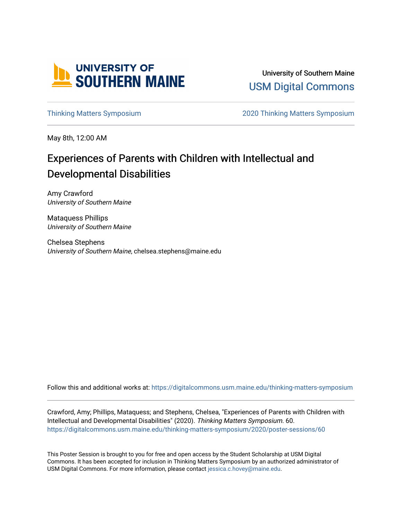

University of Southern Maine [USM Digital Commons](https://digitalcommons.usm.maine.edu/) 

[Thinking Matters Symposium](https://digitalcommons.usm.maine.edu/thinking-matters-symposium) [2020 Thinking Matters Symposium](https://digitalcommons.usm.maine.edu/thinking-matters-symposium/2020) 

May 8th, 12:00 AM

#### Experiences of Parents with Children with Intellectual and Developmental Disabilities

Amy Crawford University of Southern Maine

Mataquess Phillips University of Southern Maine

Chelsea Stephens University of Southern Maine, chelsea.stephens@maine.edu

Follow this and additional works at: [https://digitalcommons.usm.maine.edu/thinking-matters-symposium](https://digitalcommons.usm.maine.edu/thinking-matters-symposium?utm_source=digitalcommons.usm.maine.edu%2Fthinking-matters-symposium%2F2020%2Fposter-sessions%2F60&utm_medium=PDF&utm_campaign=PDFCoverPages) 

Crawford, Amy; Phillips, Mataquess; and Stephens, Chelsea, "Experiences of Parents with Children with Intellectual and Developmental Disabilities" (2020). Thinking Matters Symposium. 60. [https://digitalcommons.usm.maine.edu/thinking-matters-symposium/2020/poster-sessions/60](https://digitalcommons.usm.maine.edu/thinking-matters-symposium/2020/poster-sessions/60?utm_source=digitalcommons.usm.maine.edu%2Fthinking-matters-symposium%2F2020%2Fposter-sessions%2F60&utm_medium=PDF&utm_campaign=PDFCoverPages) 

This Poster Session is brought to you for free and open access by the Student Scholarship at USM Digital Commons. It has been accepted for inclusion in Thinking Matters Symposium by an authorized administrator of USM Digital Commons. For more information, please contact [jessica.c.hovey@maine.edu](mailto:ian.fowler@maine.edu).